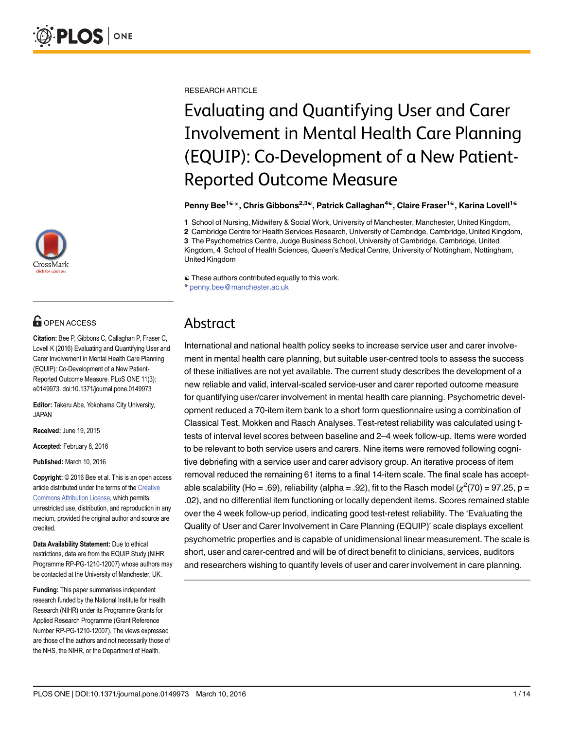

# **OPEN ACCESS**

Citation: Bee P, Gibbons C, Callaghan P, Fraser C, Lovell K (2016) Evaluating and Quantifying User and Carer Involvement in Mental Health Care Planning (EQUIP): Co-Development of a New Patient-Reported Outcome Measure. PLoS ONE 11(3): e0149973. doi:10.1371/journal.pone.0149973

Editor: Takeru Abe, Yokohama City University, JAPAN

Received: June 19, 2015

Accepted: February 8, 2016

Published: March 10, 2016

Copyright: © 2016 Bee et al. This is an open access article distributed under the terms of the [Creative](http://creativecommons.org/licenses/by/4.0/) [Commons Attribution License](http://creativecommons.org/licenses/by/4.0/), which permits unrestricted use, distribution, and reproduction in any medium, provided the original author and source are credited.

Data Availability Statement: Due to ethical restrictions, data are from the EQUIP Study (NIHR Programme RP-PG-1210-12007) whose authors may be contacted at the University of Manchester, UK.

Funding: This paper summarises independent research funded by the National Institute for Health Research (NIHR) under its Programme Grants for Applied Research Programme (Grant Reference Number RP-PG-1210-12007). The views expressed are those of the authors and not necessarily those of the NHS, the NIHR, or the Department of Health.

RESEARCH ARTICLE

# Evaluating and Quantifying User and Carer Involvement in Mental Health Care Planning (EQUIP): Co-Development of a New Patient-Reported Outcome Measure

Penny Bee<sup>1©\*</sup>, Chris Gibbons<sup>2,3©</sup>, Patrick Callaghan<sup>4©</sup>, Claire Fraser<sup>1©</sup>, Karina Lovell<sup>1©</sup>

1 School of Nursing, Midwifery & Social Work, University of Manchester, Manchester, United Kingdom,

2 Cambridge Centre for Health Services Research, University of Cambridge, Cambridge, United Kingdom, 3 The Psychometrics Centre, Judge Business School, University of Cambridge, Cambridge, United Kingdom, 4 School of Health Sciences, Queen's Medical Centre, University of Nottingham, Nottingham, United Kingdom

☯ These authors contributed equally to this work.

\* penny.bee@manchester.ac.uk

## Abstract

International and national health policy seeks to increase service user and carer involvement in mental health care planning, but suitable user-centred tools to assess the success of these initiatives are not yet available. The current study describes the development of a new reliable and valid, interval-scaled service-user and carer reported outcome measure for quantifying user/carer involvement in mental health care planning. Psychometric development reduced a 70-item item bank to a short form questionnaire using a combination of Classical Test, Mokken and Rasch Analyses. Test-retest reliability was calculated using ttests of interval level scores between baseline and 2–4 week follow-up. Items were worded to be relevant to both service users and carers. Nine items were removed following cognitive debriefing with a service user and carer advisory group. An iterative process of item removal reduced the remaining 61 items to a final 14-item scale. The final scale has acceptable scalability (Ho = .69), reliability (alpha = .92), fit to the Rasch model ( $\chi^2(70)$  = 97.25, p = .02), and no differential item functioning or locally dependent items. Scores remained stable over the 4 week follow-up period, indicating good test-retest reliability. The 'Evaluating the Quality of User and Carer Involvement in Care Planning (EQUIP)' scale displays excellent psychometric properties and is capable of unidimensional linear measurement. The scale is short, user and carer-centred and will be of direct benefit to clinicians, services, auditors and researchers wishing to quantify levels of user and carer involvement in care planning.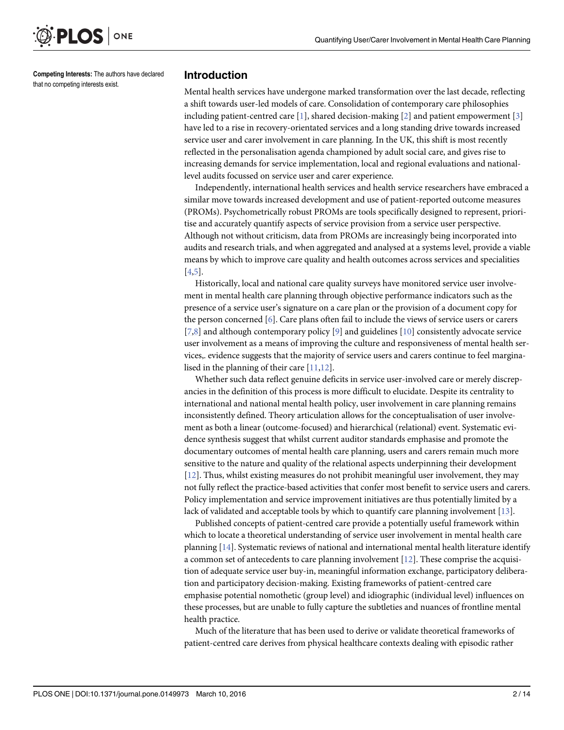<span id="page-1-0"></span>

Competing Interests: The authors have declared that no competing interests exist.

#### Introduction

Mental health services have undergone marked transformation over the last decade, reflecting a shift towards user-led models of care. Consolidation of contemporary care philosophies including patient-centred care  $[1]$  $[1]$ , shared decision-making  $[2]$  $[2]$  $[2]$  and patient empowerment  $[3]$  $[3]$ have led to a rise in recovery-orientated services and a long standing drive towards increased service user and carer involvement in care planning. In the UK, this shift is most recently reflected in the personalisation agenda championed by adult social care, and gives rise to increasing demands for service implementation, local and regional evaluations and nationallevel audits focussed on service user and carer experience.

Independently, international health services and health service researchers have embraced a similar move towards increased development and use of patient-reported outcome measures (PROMs). Psychometrically robust PROMs are tools specifically designed to represent, prioritise and accurately quantify aspects of service provision from a service user perspective. Although not without criticism, data from PROMs are increasingly being incorporated into audits and research trials, and when aggregated and analysed at a systems level, provide a viable means by which to improve care quality and health outcomes across services and specialities [\[4,5](#page-11-0)].

Historically, local and national care quality surveys have monitored service user involvement in mental health care planning through objective performance indicators such as the presence of a service user's signature on a care plan or the provision of a document copy for the person concerned [\[6\]](#page-11-0). Care plans often fail to include the views of service users or carers  $[7,8]$  $[7,8]$  and although contemporary policy  $[9]$  $[9]$  and guidelines  $[10]$  consistently advocate service user involvement as a means of improving the culture and responsiveness of mental health services,. evidence suggests that the majority of service users and carers continue to feel marginalised in the planning of their care [\[11,12\]](#page-11-0).

Whether such data reflect genuine deficits in service user-involved care or merely discrepancies in the definition of this process is more difficult to elucidate. Despite its centrality to international and national mental health policy, user involvement in care planning remains inconsistently defined. Theory articulation allows for the conceptualisation of user involvement as both a linear (outcome-focused) and hierarchical (relational) event. Systematic evidence synthesis suggest that whilst current auditor standards emphasise and promote the documentary outcomes of mental health care planning, users and carers remain much more sensitive to the nature and quality of the relational aspects underpinning their development [\[12](#page-11-0)]. Thus, whilst existing measures do not prohibit meaningful user involvement, they may not fully reflect the practice-based activities that confer most benefit to service users and carers. Policy implementation and service improvement initiatives are thus potentially limited by a lack of validated and acceptable tools by which to quantify care planning involvement  $[13]$ .

Published concepts of patient-centred care provide a potentially useful framework within which to locate a theoretical understanding of service user involvement in mental health care planning [\[14\]](#page-11-0). Systematic reviews of national and international mental health literature identify a common set of antecedents to care planning involvement [[12](#page-11-0)]. These comprise the acquisition of adequate service user buy-in, meaningful information exchange, participatory deliberation and participatory decision-making. Existing frameworks of patient-centred care emphasise potential nomothetic (group level) and idiographic (individual level) influences on these processes, but are unable to fully capture the subtleties and nuances of frontline mental health practice.

Much of the literature that has been used to derive or validate theoretical frameworks of patient-centred care derives from physical healthcare contexts dealing with episodic rather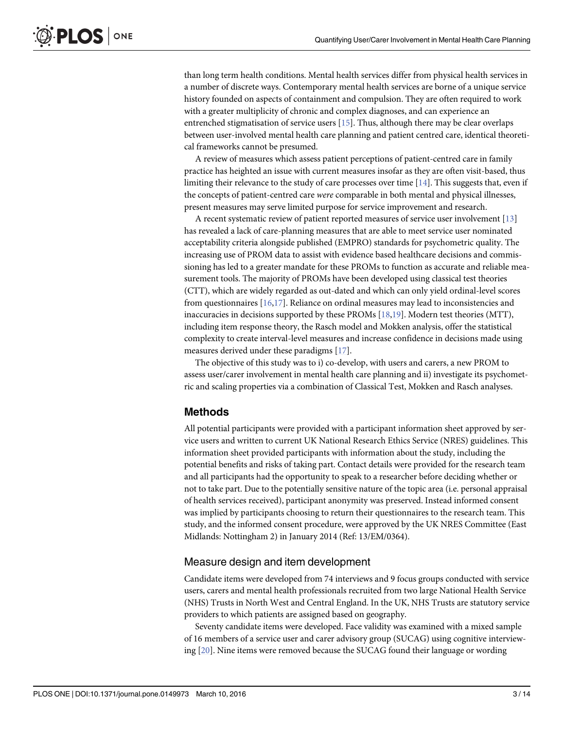<span id="page-2-0"></span>than long term health conditions. Mental health services differ from physical health services in a number of discrete ways. Contemporary mental health services are borne of a unique service history founded on aspects of containment and compulsion. They are often required to work with a greater multiplicity of chronic and complex diagnoses, and can experience an entrenched stigmatisation of service users [[15](#page-11-0)]. Thus, although there may be clear overlaps between user-involved mental health care planning and patient centred care, identical theoretical frameworks cannot be presumed.

A review of measures which assess patient perceptions of patient-centred care in family practice has heighted an issue with current measures insofar as they are often visit-based, thus limiting their relevance to the study of care processes over time  $[14]$ . This suggests that, even if the concepts of patient-centred care were comparable in both mental and physical illnesses, present measures may serve limited purpose for service improvement and research.

A recent systematic review of patient reported measures of service user involvement [[13](#page-11-0)] has revealed a lack of care-planning measures that are able to meet service user nominated acceptability criteria alongside published (EMPRO) standards for psychometric quality. The increasing use of PROM data to assist with evidence based healthcare decisions and commissioning has led to a greater mandate for these PROMs to function as accurate and reliable measurement tools. The majority of PROMs have been developed using classical test theories (CTT), which are widely regarded as out-dated and which can only yield ordinal-level scores from questionnaires [[16,17\]](#page-11-0). Reliance on ordinal measures may lead to inconsistencies and inaccuracies in decisions supported by these PROMs  $[18,19]$  $[18,19]$  $[18,19]$  $[18,19]$  $[18,19]$ . Modern test theories (MTT), including item response theory, the Rasch model and Mokken analysis, offer the statistical complexity to create interval-level measures and increase confidence in decisions made using measures derived under these paradigms [[17](#page-11-0)].

The objective of this study was to i) co-develop, with users and carers, a new PROM to assess user/carer involvement in mental health care planning and ii) investigate its psychometric and scaling properties via a combination of Classical Test, Mokken and Rasch analyses.

### Methods

All potential participants were provided with a participant information sheet approved by service users and written to current UK National Research Ethics Service (NRES) guidelines. This information sheet provided participants with information about the study, including the potential benefits and risks of taking part. Contact details were provided for the research team and all participants had the opportunity to speak to a researcher before deciding whether or not to take part. Due to the potentially sensitive nature of the topic area (i.e. personal appraisal of health services received), participant anonymity was preserved. Instead informed consent was implied by participants choosing to return their questionnaires to the research team. This study, and the informed consent procedure, were approved by the UK NRES Committee (East Midlands: Nottingham 2) in January 2014 (Ref: 13/EM/0364).

### Measure design and item development

Candidate items were developed from 74 interviews and 9 focus groups conducted with service users, carers and mental health professionals recruited from two large National Health Service (NHS) Trusts in North West and Central England. In the UK, NHS Trusts are statutory service providers to which patients are assigned based on geography.

Seventy candidate items were developed. Face validity was examined with a mixed sample of 16 members of a service user and carer advisory group (SUCAG) using cognitive interviewing [\[20\]](#page-12-0). Nine items were removed because the SUCAG found their language or wording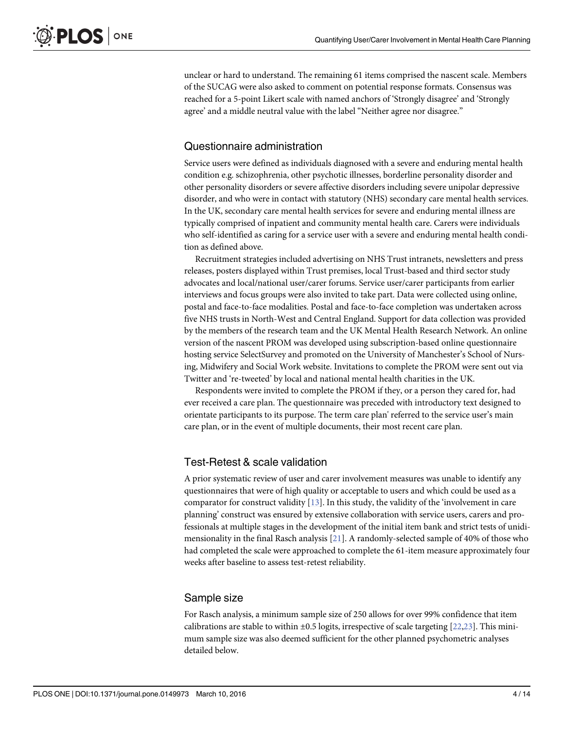<span id="page-3-0"></span>unclear or hard to understand. The remaining 61 items comprised the nascent scale. Members of the SUCAG were also asked to comment on potential response formats. Consensus was reached for a 5-point Likert scale with named anchors of 'Strongly disagree' and 'Strongly agree' and a middle neutral value with the label "Neither agree nor disagree."

### Questionnaire administration

Service users were defined as individuals diagnosed with a severe and enduring mental health condition e.g. schizophrenia, other psychotic illnesses, borderline personality disorder and other personality disorders or severe affective disorders including severe unipolar depressive disorder, and who were in contact with statutory (NHS) secondary care mental health services. In the UK, secondary care mental health services for severe and enduring mental illness are typically comprised of inpatient and community mental health care. Carers were individuals who self-identified as caring for a service user with a severe and enduring mental health condition as defined above.

Recruitment strategies included advertising on NHS Trust intranets, newsletters and press releases, posters displayed within Trust premises, local Trust-based and third sector study advocates and local/national user/carer forums. Service user/carer participants from earlier interviews and focus groups were also invited to take part. Data were collected using online, postal and face-to-face modalities. Postal and face-to-face completion was undertaken across five NHS trusts in North-West and Central England. Support for data collection was provided by the members of the research team and the UK Mental Health Research Network. An online version of the nascent PROM was developed using subscription-based online questionnaire hosting service SelectSurvey and promoted on the University of Manchester's School of Nursing, Midwifery and Social Work website. Invitations to complete the PROM were sent out via Twitter and 're-tweeted' by local and national mental health charities in the UK.

Respondents were invited to complete the PROM if they, or a person they cared for, had ever received a care plan. The questionnaire was preceded with introductory text designed to orientate participants to its purpose. The term care plan' referred to the service user's main care plan, or in the event of multiple documents, their most recent care plan.

### Test-Retest & scale validation

A prior systematic review of user and carer involvement measures was unable to identify any questionnaires that were of high quality or acceptable to users and which could be used as a comparator for construct validity  $[13]$ . In this study, the validity of the 'involvement in care planning' construct was ensured by extensive collaboration with service users, carers and professionals at multiple stages in the development of the initial item bank and strict tests of unidimensionality in the final Rasch analysis [\[21\]](#page-12-0). A randomly-selected sample of 40% of those who had completed the scale were approached to complete the 61-item measure approximately four weeks after baseline to assess test-retest reliability.

### Sample size

For Rasch analysis, a minimum sample size of 250 allows for over 99% confidence that item calibrations are stable to within  $\pm 0.5$  logits, irrespective of scale targeting [[22](#page-12-0),[23](#page-12-0)]. This minimum sample size was also deemed sufficient for the other planned psychometric analyses detailed below.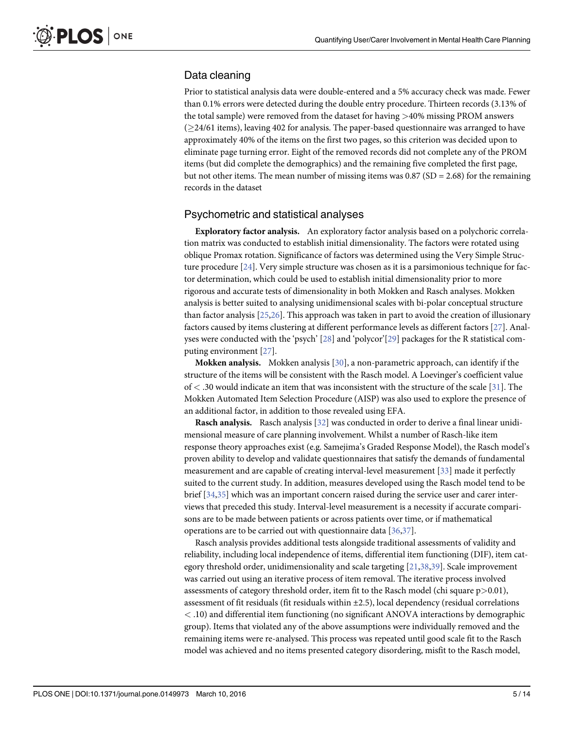### <span id="page-4-0"></span>Data cleaning

Prior to statistical analysis data were double-entered and a 5% accuracy check was made. Fewer than 0.1% errors were detected during the double entry procedure. Thirteen records (3.13% of the total sample) were removed from the dataset for having >40% missing PROM answers  $(24/61$  items), leaving 402 for analysis. The paper-based questionnaire was arranged to have approximately 40% of the items on the first two pages, so this criterion was decided upon to eliminate page turning error. Eight of the removed records did not complete any of the PROM items (but did complete the demographics) and the remaining five completed the first page, but not other items. The mean number of missing items was  $0.87$  (SD = 2.68) for the remaining records in the dataset

#### Psychometric and statistical analyses

Exploratory factor analysis. An exploratory factor analysis based on a polychoric correlation matrix was conducted to establish initial dimensionality. The factors were rotated using oblique Promax rotation. Significance of factors was determined using the Very Simple Structure procedure [\[24\]](#page-12-0). Very simple structure was chosen as it is a parsimonious technique for factor determination, which could be used to establish initial dimensionality prior to more rigorous and accurate tests of dimensionality in both Mokken and Rasch analyses. Mokken analysis is better suited to analysing unidimensional scales with bi-polar conceptual structure than factor analysis [\[25,26\]](#page-12-0). This approach was taken in part to avoid the creation of illusionary factors caused by items clustering at different performance levels as different factors [[27](#page-12-0)]. Anal-yses were conducted with the 'psych' [[28](#page-12-0)] and 'polycor'[\[29\]](#page-12-0) packages for the R statistical computing environment [[27](#page-12-0)].

Mokken analysis. Mokken analysis [[30](#page-12-0)], a non-parametric approach, can identify if the structure of the items will be consistent with the Rasch model. A Loevinger's coefficient value  $of < .30$  would indicate an item that was inconsistent with the structure of the scale [\[31\]](#page-12-0). The Mokken Automated Item Selection Procedure (AISP) was also used to explore the presence of an additional factor, in addition to those revealed using EFA.

Rasch analysis. Rasch analysis [\[32\]](#page-12-0) was conducted in order to derive a final linear unidimensional measure of care planning involvement. Whilst a number of Rasch-like item response theory approaches exist (e.g. Samejima's Graded Response Model), the Rasch model's proven ability to develop and validate questionnaires that satisfy the demands of fundamental measurement and are capable of creating interval-level measurement [\[33\]](#page-12-0) made it perfectly suited to the current study. In addition, measures developed using the Rasch model tend to be brief [[34,35](#page-12-0)] which was an important concern raised during the service user and carer interviews that preceded this study. Interval-level measurement is a necessity if accurate comparisons are to be made between patients or across patients over time, or if mathematical operations are to be carried out with questionnaire data [\[36,37](#page-12-0)].

Rasch analysis provides additional tests alongside traditional assessments of validity and reliability, including local independence of items, differential item functioning (DIF), item category threshold order, unidimensionality and scale targeting [\[21,38,39\]](#page-12-0). Scale improvement was carried out using an iterative process of item removal. The iterative process involved assessments of category threshold order, item fit to the Rasch model (chi square  $p > 0.01$ ), assessment of fit residuals (fit residuals within ±2.5), local dependency (residual correlations < .10) and differential item functioning (no significant ANOVA interactions by demographic group). Items that violated any of the above assumptions were individually removed and the remaining items were re-analysed. This process was repeated until good scale fit to the Rasch model was achieved and no items presented category disordering, misfit to the Rasch model,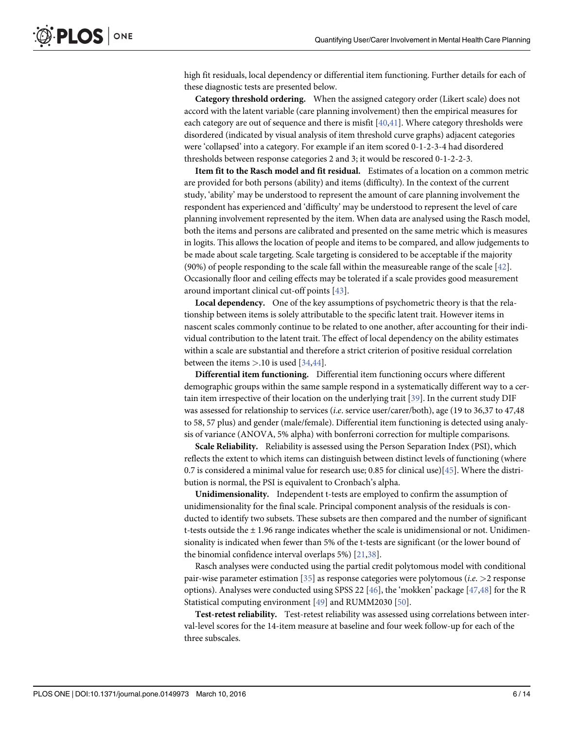<span id="page-5-0"></span>high fit residuals, local dependency or differential item functioning. Further details for each of these diagnostic tests are presented below.

Category threshold ordering. When the assigned category order (Likert scale) does not accord with the latent variable (care planning involvement) then the empirical measures for each category are out of sequence and there is misfit [[40,41](#page-12-0)]. Where category thresholds were disordered (indicated by visual analysis of item threshold curve graphs) adjacent categories were 'collapsed' into a category. For example if an item scored 0-1-2-3-4 had disordered thresholds between response categories 2 and 3; it would be rescored 0-1-2-2-3.

Item fit to the Rasch model and fit residual. Estimates of a location on a common metric are provided for both persons (ability) and items (difficulty). In the context of the current study, 'ability' may be understood to represent the amount of care planning involvement the respondent has experienced and 'difficulty' may be understood to represent the level of care planning involvement represented by the item. When data are analysed using the Rasch model, both the items and persons are calibrated and presented on the same metric which is measures in logits. This allows the location of people and items to be compared, and allow judgements to be made about scale targeting. Scale targeting is considered to be acceptable if the majority (90%) of people responding to the scale fall within the measureable range of the scale [\[42](#page-12-0)]. Occasionally floor and ceiling effects may be tolerated if a scale provides good measurement around important clinical cut-off points [[43](#page-13-0)].

Local dependency. One of the key assumptions of psychometric theory is that the relationship between items is solely attributable to the specific latent trait. However items in nascent scales commonly continue to be related to one another, after accounting for their individual contribution to the latent trait. The effect of local dependency on the ability estimates within a scale are substantial and therefore a strict criterion of positive residual correlation between the items  $>10$  is used [\[34](#page-12-0)[,44\]](#page-13-0).

Differential item functioning. Differential item functioning occurs where different demographic groups within the same sample respond in a systematically different way to a certain item irrespective of their location on the underlying trait [\[39\]](#page-12-0). In the current study DIF was assessed for relationship to services (i.e. service user/carer/both), age (19 to 36,37 to 47,48 to 58, 57 plus) and gender (male/female). Differential item functioning is detected using analysis of variance (ANOVA, 5% alpha) with bonferroni correction for multiple comparisons.

Scale Reliability. Reliability is assessed using the Person Separation Index (PSI), which reflects the extent to which items can distinguish between distinct levels of functioning (where 0.7 is considered a minimal value for research use; 0.85 for clinical use)[\[45\]](#page-13-0). Where the distribution is normal, the PSI is equivalent to Cronbach's alpha.

Unidimensionality. Independent t-tests are employed to confirm the assumption of unidimensionality for the final scale. Principal component analysis of the residuals is conducted to identify two subsets. These subsets are then compared and the number of significant t-tests outside the  $\pm$  1.96 range indicates whether the scale is unidimensional or not. Unidimensionality is indicated when fewer than 5% of the t-tests are significant (or the lower bound of the binomial confidence interval overlaps 5%) [\[21,38\]](#page-12-0).

Rasch analyses were conducted using the partial credit polytomous model with conditional pair-wise parameter estimation [\[35](#page-12-0)] as response categories were polytomous (*i.e.*  $>$ 2 response options). Analyses were conducted using SPSS 22 [[46](#page-13-0)], the 'mokken' package [\[47,48\]](#page-13-0) for the R Statistical computing environment [\[49\]](#page-13-0) and RUMM2030 [[50](#page-13-0)].

Test-retest reliability. Test-retest reliability was assessed using correlations between interval-level scores for the 14-item measure at baseline and four week follow-up for each of the three subscales.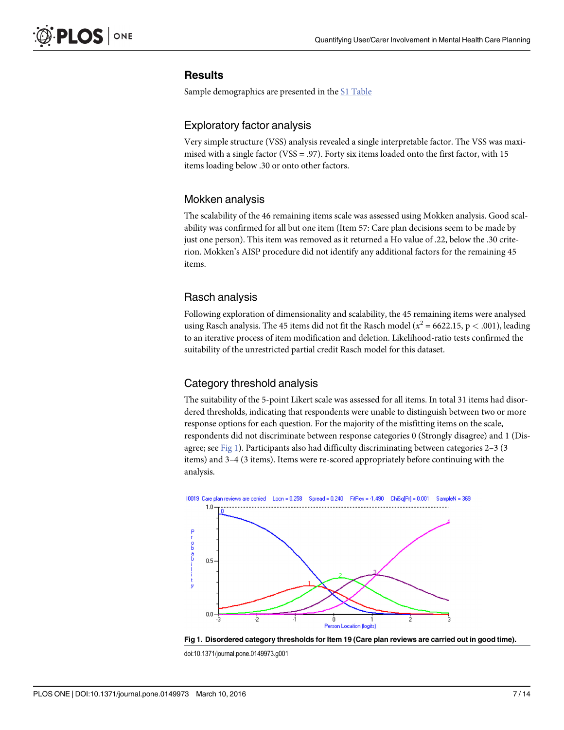### **Results**

Sample demographics are presented in the [S1 Table](#page-10-0)

### Exploratory factor analysis

Very simple structure (VSS) analysis revealed a single interpretable factor. The VSS was maximised with a single factor (VSS = .97). Forty six items loaded onto the first factor, with 15 items loading below .30 or onto other factors.

### Mokken analysis

The scalability of the 46 remaining items scale was assessed using Mokken analysis. Good scalability was confirmed for all but one item (Item 57: Care plan decisions seem to be made by just one person). This item was removed as it returned a Ho value of .22, below the .30 criterion. Mokken's AISP procedure did not identify any additional factors for the remaining 45 items.

### Rasch analysis

Following exploration of dimensionality and scalability, the 45 remaining items were analysed using Rasch analysis. The 45 items did not fit the Rasch model ( $x^2$  = 6622.15, p < .001), leading to an iterative process of item modification and deletion. Likelihood-ratio tests confirmed the suitability of the unrestricted partial credit Rasch model for this dataset.

### Category threshold analysis

The suitability of the 5-point Likert scale was assessed for all items. In total 31 items had disordered thresholds, indicating that respondents were unable to distinguish between two or more response options for each question. For the majority of the misfitting items on the scale, respondents did not discriminate between response categories 0 (Strongly disagree) and 1 (Disagree; see Fig 1). Participants also had difficulty discriminating between categories 2–3 (3 items) and 3–4 (3 items). Items were re-scored appropriately before continuing with the analysis.





doi:10.1371/journal.pone.0149973.g001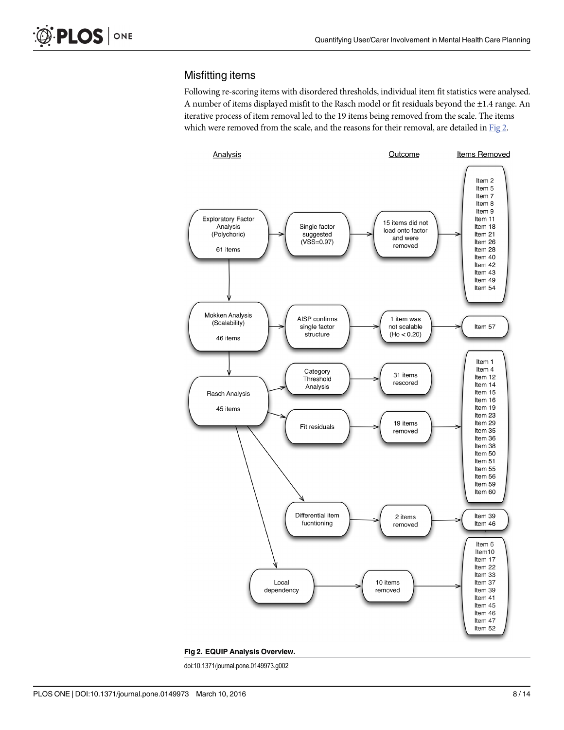### Misfitting items

Following re-scoring items with disordered thresholds, individual item fit statistics were analysed. A number of items displayed misfit to the Rasch model or fit residuals beyond the ±1.4 range. An iterative process of item removal led to the 19 items being removed from the scale. The items which were removed from the scale, and the reasons for their removal, are detailed in Fig 2.



Fig 2. EQUIP Analysis Overview.

doi:10.1371/journal.pone.0149973.g002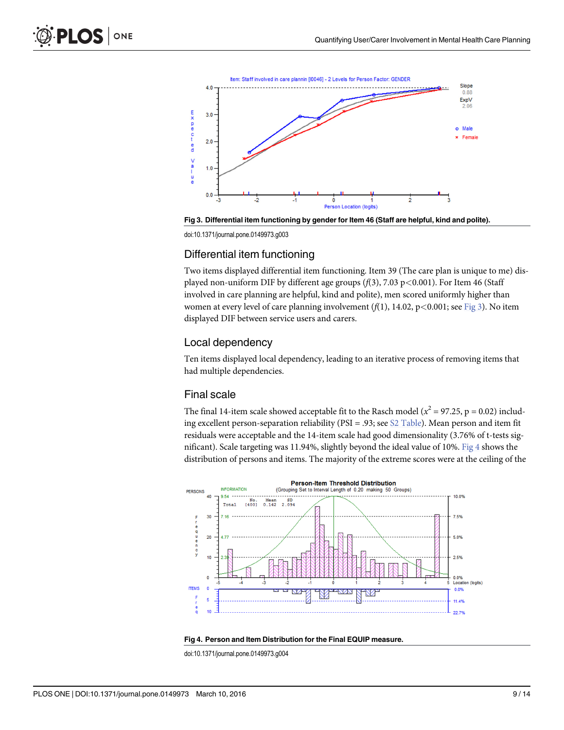<span id="page-8-0"></span>

Fig 3. Differential item functioning by gender for Item 46 (Staff are helpful, kind and polite).

doi:10.1371/journal.pone.0149973.g003

### Differential item functioning

Two items displayed differential item functioning. Item 39 (The care plan is unique to me) displayed non-uniform DIF by different age groups  $(f(3), 7.03 \text{ p} < 0.001)$ . For Item 46 (Staff involved in care planning are helpful, kind and polite), men scored uniformly higher than women at every level of care planning involvement  $(f(1), 14.02, p<0.001$ ; see Fig 3). No item displayed DIF between service users and carers.

#### Local dependency

Ten items displayed local dependency, leading to an iterative process of removing items that had multiple dependencies.

#### Final scale

The final 14-item scale showed acceptable fit to the Rasch model ( $x^2 = 97.25$ , p = 0.02) including excellent person-separation reliability (PSI = .93; see [S2 Table\)](#page-10-0). Mean person and item fit residuals were acceptable and the 14-item scale had good dimensionality (3.76% of t-tests significant). Scale targeting was 11.94%, slightly beyond the ideal value of 10%. Fig 4 shows the distribution of persons and items. The majority of the extreme scores were at the ceiling of the





doi:10.1371/journal.pone.0149973.g004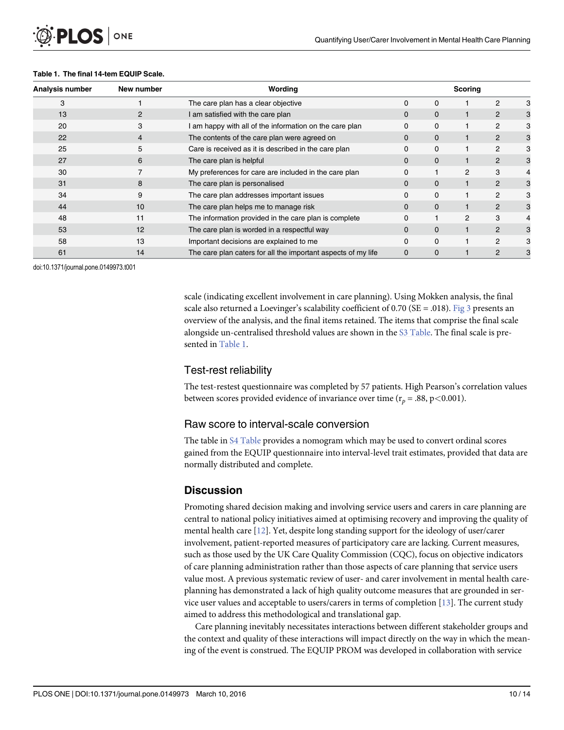#### Table 1. The final 14-tem EQUIP Scale.

ONE

**PLOS I** 

| Analysis number | New number | Wording                                                       | Scoring  |          |                |                |  |
|-----------------|------------|---------------------------------------------------------------|----------|----------|----------------|----------------|--|
| 3               |            | The care plan has a clear objective                           | 0        | $\Omega$ |                | 2              |  |
| 13              | 2          | I am satisfied with the care plan                             | $\Omega$ | 0        |                | $\overline{2}$ |  |
| 20              | 3          | I am happy with all of the information on the care plan       | 0        | $\Omega$ |                | $\overline{2}$ |  |
| 22              |            | The contents of the care plan were agreed on                  | 0        | 0        |                | $\overline{2}$ |  |
| 25              | 5          | Care is received as it is described in the care plan          | 0        | $\Omega$ |                | $\overline{2}$ |  |
| 27              | 6          | The care plan is helpful                                      | $\Omega$ | 0        |                | $\overline{2}$ |  |
| 30              |            | My preferences for care are included in the care plan         | 0        |          | $\overline{2}$ | 3              |  |
| 31              | 8          | The care plan is personalised                                 | $\Omega$ | 0        |                | $\overline{2}$ |  |
| 34              | 9          | The care plan addresses important issues                      | 0        | $\Omega$ |                | $\overline{2}$ |  |
| 44              | 10         | The care plan helps me to manage risk                         | $\Omega$ | $\Omega$ |                | $\overline{2}$ |  |
| 48              | 11         | The information provided in the care plan is complete         | 0        |          | $\overline{c}$ | 3              |  |
| 53              | 12         | The care plan is worded in a respectful way                   | $\Omega$ | $\Omega$ |                | $\mathcal{P}$  |  |
| 58              | 13         | Important decisions are explained to me                       | 0        | 0        |                | $\mathcal{P}$  |  |
| 61              | 14         | The care plan caters for all the important aspects of my life | $\Omega$ | 0        |                | 2              |  |

doi:10.1371/journal.pone.0149973.t001

scale (indicating excellent involvement in care planning). Using Mokken analysis, the final scale also returned a Loevinger's scalability coefficient of  $0.70$  (SE = .018). [Fig 3](#page-8-0) presents an overview of the analysis, and the final items retained. The items that comprise the final scale alongside un-centralised threshold values are shown in the [S3 Table](#page-11-0). The final scale is presented in Table 1.

### Test-rest reliability

The test-restest questionnaire was completed by 57 patients. High Pearson's correlation values between scores provided evidence of invariance over time ( $r_p = .88$ , p<0.001).

#### Raw score to interval-scale conversion

The table in [S4 Table](#page-11-0) provides a nomogram which may be used to convert ordinal scores gained from the EQUIP questionnaire into interval-level trait estimates, provided that data are normally distributed and complete.

### **Discussion**

Promoting shared decision making and involving service users and carers in care planning are central to national policy initiatives aimed at optimising recovery and improving the quality of mental health care [[12](#page-11-0)]. Yet, despite long standing support for the ideology of user/carer involvement, patient-reported measures of participatory care are lacking. Current measures, such as those used by the UK Care Quality Commission (CQC), focus on objective indicators of care planning administration rather than those aspects of care planning that service users value most. A previous systematic review of user- and carer involvement in mental health careplanning has demonstrated a lack of high quality outcome measures that are grounded in service user values and acceptable to users/carers in terms of completion [[13](#page-11-0)]. The current study aimed to address this methodological and translational gap.

Care planning inevitably necessitates interactions between different stakeholder groups and the context and quality of these interactions will impact directly on the way in which the meaning of the event is construed. The EQUIP PROM was developed in collaboration with service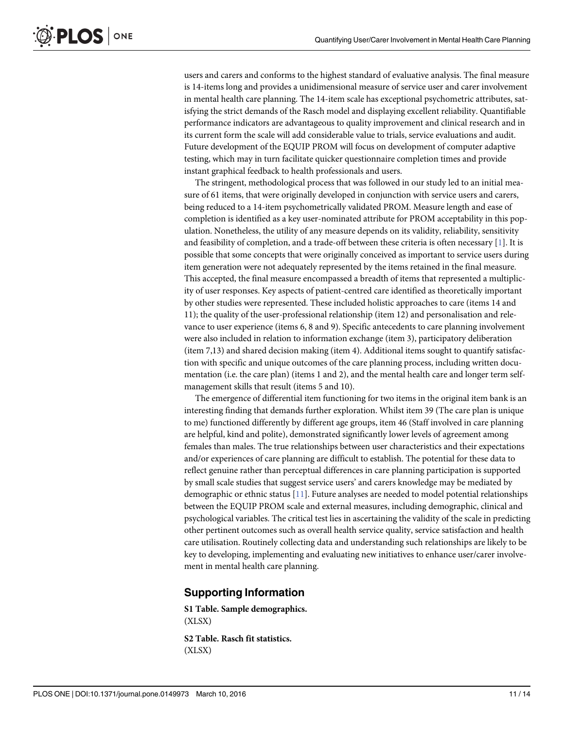<span id="page-10-0"></span>users and carers and conforms to the highest standard of evaluative analysis. The final measure is 14-items long and provides a unidimensional measure of service user and carer involvement in mental health care planning. The 14-item scale has exceptional psychometric attributes, satisfying the strict demands of the Rasch model and displaying excellent reliability. Quantifiable performance indicators are advantageous to quality improvement and clinical research and in its current form the scale will add considerable value to trials, service evaluations and audit. Future development of the EQUIP PROM will focus on development of computer adaptive testing, which may in turn facilitate quicker questionnaire completion times and provide instant graphical feedback to health professionals and users.

The stringent, methodological process that was followed in our study led to an initial measure of 61 items, that were originally developed in conjunction with service users and carers, being reduced to a 14-item psychometrically validated PROM. Measure length and ease of completion is identified as a key user-nominated attribute for PROM acceptability in this population. Nonetheless, the utility of any measure depends on its validity, reliability, sensitivity and feasibility of completion, and a trade-off between these criteria is often necessary  $[1]$  $[1]$  $[1]$ . It is possible that some concepts that were originally conceived as important to service users during item generation were not adequately represented by the items retained in the final measure. This accepted, the final measure encompassed a breadth of items that represented a multiplicity of user responses. Key aspects of patient-centred care identified as theoretically important by other studies were represented. These included holistic approaches to care (items 14 and 11); the quality of the user-professional relationship (item 12) and personalisation and relevance to user experience (items 6, 8 and 9). Specific antecedents to care planning involvement were also included in relation to information exchange (item 3), participatory deliberation (item 7,13) and shared decision making (item 4). Additional items sought to quantify satisfaction with specific and unique outcomes of the care planning process, including written documentation (i.e. the care plan) (items 1 and 2), and the mental health care and longer term selfmanagement skills that result (items 5 and 10).

The emergence of differential item functioning for two items in the original item bank is an interesting finding that demands further exploration. Whilst item 39 (The care plan is unique to me) functioned differently by different age groups, item 46 (Staff involved in care planning are helpful, kind and polite), demonstrated significantly lower levels of agreement among females than males. The true relationships between user characteristics and their expectations and/or experiences of care planning are difficult to establish. The potential for these data to reflect genuine rather than perceptual differences in care planning participation is supported by small scale studies that suggest service users' and carers knowledge may be mediated by demographic or ethnic status  $[11]$  $[11]$ . Future analyses are needed to model potential relationships between the EQUIP PROM scale and external measures, including demographic, clinical and psychological variables. The critical test lies in ascertaining the validity of the scale in predicting other pertinent outcomes such as overall health service quality, service satisfaction and health care utilisation. Routinely collecting data and understanding such relationships are likely to be key to developing, implementing and evaluating new initiatives to enhance user/carer involvement in mental health care planning.

### Supporting Information

[S1 Table](http://www.plosone.org/article/fetchSingleRepresentation.action?uri=info:doi/10.1371/journal.pone.0149973.s001). Sample demographics. (XLSX)

[S2 Table](http://www.plosone.org/article/fetchSingleRepresentation.action?uri=info:doi/10.1371/journal.pone.0149973.s002). Rasch fit statistics. (XLSX)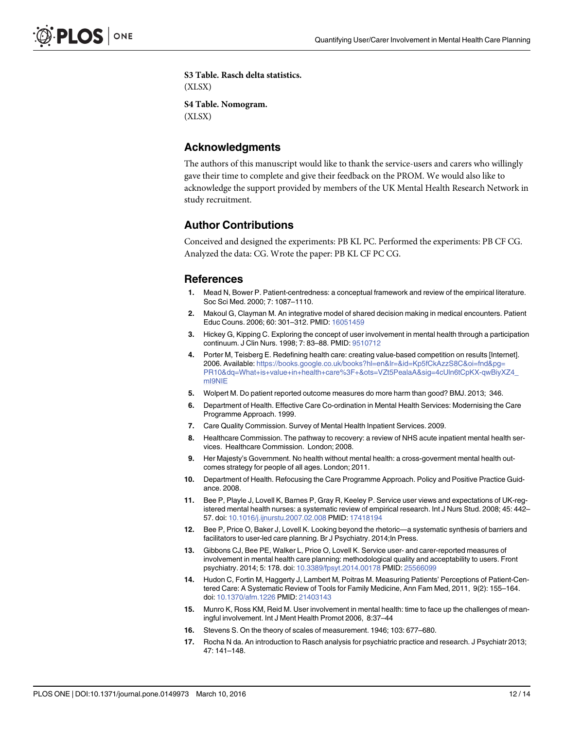<span id="page-11-0"></span>[S3 Table](http://www.plosone.org/article/fetchSingleRepresentation.action?uri=info:doi/10.1371/journal.pone.0149973.s003). Rasch delta statistics. (XLSX) [S4 Table](http://www.plosone.org/article/fetchSingleRepresentation.action?uri=info:doi/10.1371/journal.pone.0149973.s004). Nomogram. (XLSX)

### Acknowledgments

The authors of this manuscript would like to thank the service-users and carers who willingly gave their time to complete and give their feedback on the PROM. We would also like to acknowledge the support provided by members of the UK Mental Health Research Network in study recruitment.

### Author Contributions

Conceived and designed the experiments: PB KL PC. Performed the experiments: PB CF CG. Analyzed the data: CG. Wrote the paper: PB KL CF PC CG.

#### **References**

- [1.](#page-1-0) Mead N, Bower P. Patient-centredness: a conceptual framework and review of the empirical literature. Soc Sci Med. 2000; 7: 1087–1110.
- [2.](#page-1-0) Makoul G, Clayman M. An integrative model of shared decision making in medical encounters. Patient Educ Couns. 2006; 60: 301–312. PMID: [16051459](http://www.ncbi.nlm.nih.gov/pubmed/16051459)
- [3.](#page-1-0) Hickey G, Kipping C. Exploring the concept of user involvement in mental health through a participation continuum. J Clin Nurs. 1998; 7: 83–88. PMID: [9510712](http://www.ncbi.nlm.nih.gov/pubmed/9510712)
- [4.](#page-1-0) Porter M, Teisberg E. Redefining health care: creating value-based competition on results [Internet]. 2006. Available: [https://books.google.co.uk/books?hl=en&lr=&id=Kp5fCkAzzS8C&oi=fnd&pg=](https://books.google.co.uk/books?hl=en&lr=&id=Kp5fCkAzzS8C&oi=fnd&pg=PR10&dq=What+is+value+in+health+care%3F+&ots=VZt5PealaA&sig=4cUln6tCpKX-qwBiyXZ4_mI9NIE) [PR10&dq=What+is+value+in+health+care%3F+&ots=VZt5PealaA&sig=4cUln6tCpKX-qwBiyXZ4\\_](https://books.google.co.uk/books?hl=en&lr=&id=Kp5fCkAzzS8C&oi=fnd&pg=PR10&dq=What+is+value+in+health+care%3F+&ots=VZt5PealaA&sig=4cUln6tCpKX-qwBiyXZ4_mI9NIE) [mI9NIE](https://books.google.co.uk/books?hl=en&lr=&id=Kp5fCkAzzS8C&oi=fnd&pg=PR10&dq=What+is+value+in+health+care%3F+&ots=VZt5PealaA&sig=4cUln6tCpKX-qwBiyXZ4_mI9NIE)
- [5.](#page-1-0) Wolpert M. Do patient reported outcome measures do more harm than good? BMJ. 2013; 346.
- [6.](#page-1-0) Department of Health. Effective Care Co-ordination in Mental Health Services: Modernising the Care Programme Approach. 1999.
- [7.](#page-1-0) Care Quality Commission. Survey of Mental Health Inpatient Services. 2009.
- [8.](#page-1-0) Healthcare Commission. The pathway to recovery: a review of NHS acute inpatient mental health services. Healthcare Commission. London; 2008.
- [9.](#page-1-0) Her Maiesty's Government. No health without mental health: a cross-goverment mental health outcomes strategy for people of all ages. London; 2011.
- [10.](#page-1-0) Department of Health. Refocusing the Care Programme Approach. Policy and Positive Practice Guidance. 2008.
- [11.](#page-1-0) Bee P, Playle J, Lovell K, Barnes P, Gray R, Keeley P. Service user views and expectations of UK-registered mental health nurses: a systematic review of empirical research. Int J Nurs Stud. 2008; 45: 442– 57. doi: [10.1016/j.ijnurstu.2007.02.008](http://dx.doi.org/10.1016/j.ijnurstu.2007.02.008) PMID: [17418194](http://www.ncbi.nlm.nih.gov/pubmed/17418194)
- [12.](#page-1-0) Bee P, Price O, Baker J, Lovell K. Looking beyond the rhetoric—a systematic synthesis of barriers and facilitators to user-led care planning. Br J Psychiatry. 2014; In Press.
- [13.](#page-1-0) Gibbons CJ, Bee PE, Walker L, Price O, Lovell K. Service user- and carer-reported measures of involvement in mental health care planning: methodological quality and acceptability to users. Front psychiatry. 2014; 5: 178. doi: [10.3389/fpsyt.2014.00178](http://dx.doi.org/10.3389/fpsyt.2014.00178) PMID: [25566099](http://www.ncbi.nlm.nih.gov/pubmed/25566099)
- [14.](#page-1-0) Hudon C, Fortin M, Haggerty J, Lambert M, Poitras M. Measuring Patients' Perceptions of Patient-Centered Care: A Systematic Review of Tools for Family Medicine, Ann Fam Med, 2011, 9(2): 155–164. doi: [10.1370/afm.1226](http://dx.doi.org/10.1370/afm.1226) PMID: [21403143](http://www.ncbi.nlm.nih.gov/pubmed/21403143)
- [15.](#page-2-0) Munro K, Ross KM, Reid M. User involvement in mental health: time to face up the challenges of meaningful involvement. Int J Ment Health Promot 2006, 8:37–44
- [16.](#page-2-0) Stevens S. On the theory of scales of measurement. 1946; 103: 677–680.
- [17.](#page-2-0) Rocha N da. An introduction to Rasch analysis for psychiatric practice and research. J Psychiatr 2013; 47: 141–148.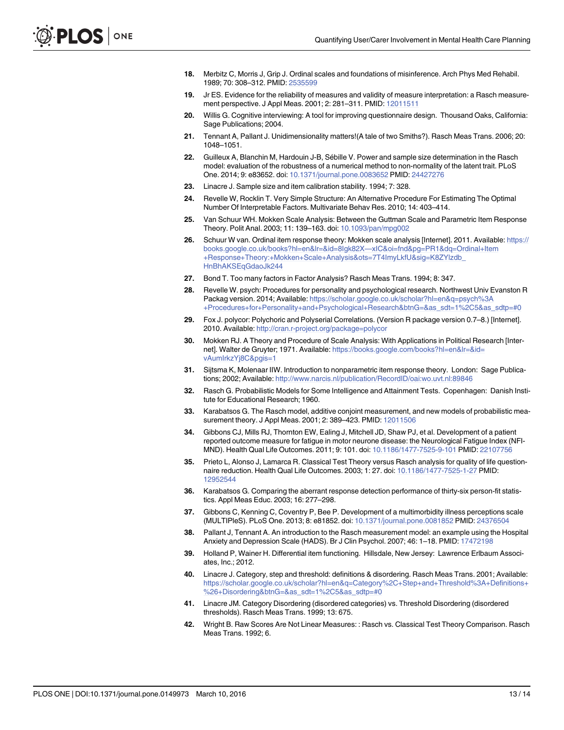- <span id="page-12-0"></span>[18.](#page-2-0) Merbitz C, Morris J, Grip J. Ordinal scales and foundations of misinference. Arch Phys Med Rehabil. 1989; 70: 308–312. PMID: [2535599](http://www.ncbi.nlm.nih.gov/pubmed/2535599)
- [19.](#page-2-0) Jr ES. Evidence for the reliability of measures and validity of measure interpretation: a Rasch measurement perspective. J Appl Meas. 2001; 2: 281–311. PMID: [12011511](http://www.ncbi.nlm.nih.gov/pubmed/12011511)
- [20.](#page-2-0) Willis G. Cognitive interviewing: A tool for improving questionnaire design. Thousand Oaks, California: Sage Publications; 2004.
- [21.](#page-3-0) Tennant A, Pallant J. Unidimensionality matters!(A tale of two Smiths?). Rasch Meas Trans. 2006; 20: 1048–1051.
- [22.](#page-3-0) Guilleux A, Blanchin M, Hardouin J-B, Sébille V. Power and sample size determination in the Rasch model: evaluation of the robustness of a numerical method to non-normality of the latent trait. PLoS One. 2014; 9: e83652. doi: [10.1371/journal.pone.0083652](http://dx.doi.org/10.1371/journal.pone.0083652) PMID: [24427276](http://www.ncbi.nlm.nih.gov/pubmed/24427276)
- [23.](#page-3-0) Linacre J. Sample size and item calibration stability. 1994; 7: 328.
- [24.](#page-4-0) Revelle W, Rocklin T. Very Simple Structure: An Alternative Procedure For Estimating The Optimal Number Of Interpretable Factors. Multivariate Behav Res. 2010; 14: 403–414.
- [25.](#page-4-0) Van Schuur WH. Mokken Scale Analysis: Between the Guttman Scale and Parametric Item Response Theory. Polit Anal. 2003; 11: 139–163. doi: [10.1093/pan/mpg002](http://dx.doi.org/10.1093/pan/mpg002)
- [26.](#page-4-0) Schuur W van. Ordinal item response theory: Mokken scale analysis [Internet]. 2011. Available: [https://](https://books.google.co.uk/books?hl=en&lr=&id=8Igk82X—xIC&oi=fnd&pg=PR1&dq=Ordinal+Item+Response+Theory:+Mokken+Scale+Analysis&ots=7T4ImyLkfU&sig=K8ZYlzdb_HnBhAKSEqGdaoJk244) [books.google.co.uk/books?hl=en&lr=&id=8Igk82X](https://books.google.co.uk/books?hl=en&lr=&id=8Igk82X—xIC&oi=fnd&pg=PR1&dq=Ordinal+Item+Response+Theory:+Mokken+Scale+Analysis&ots=7T4ImyLkfU&sig=K8ZYlzdb_HnBhAKSEqGdaoJk244)—xIC&oi=fnd&pg=PR1&dq=Ordinal+Item [+Response+Theory:+Mokken+Scale+Analysis&ots=7T4ImyLkfU&sig=K8ZYlzdb\\_](https://books.google.co.uk/books?hl=en&lr=&id=8Igk82X—xIC&oi=fnd&pg=PR1&dq=Ordinal+Item+Response+Theory:+Mokken+Scale+Analysis&ots=7T4ImyLkfU&sig=K8ZYlzdb_HnBhAKSEqGdaoJk244) [HnBhAKSEqGdaoJk244](https://books.google.co.uk/books?hl=en&lr=&id=8Igk82X—xIC&oi=fnd&pg=PR1&dq=Ordinal+Item+Response+Theory:+Mokken+Scale+Analysis&ots=7T4ImyLkfU&sig=K8ZYlzdb_HnBhAKSEqGdaoJk244)
- [27.](#page-4-0) Bond T. Too many factors in Factor Analysis? Rasch Meas Trans. 1994; 8: 347.
- [28.](#page-4-0) Revelle W. psych: Procedures for personality and psychological research. Northwest Univ Evanston R Packag version. 2014; Available: [https://scholar.google.co.uk/scholar?hl=en&q=psych%3A](https://scholar.google.co.uk/scholar?hl=en&q=psych%3A+Procedures+for+Personality+and+Psychological+Research&btnG=&as_sdt=1%2C5&as_sdtp=#0) [+Procedures+for+Personality+and+Psychological+Research&btnG=&as\\_sdt=1%2C5&as\\_sdtp=#0](https://scholar.google.co.uk/scholar?hl=en&q=psych%3A+Procedures+for+Personality+and+Psychological+Research&btnG=&as_sdt=1%2C5&as_sdtp=#0)
- [29.](#page-4-0) Fox J. polycor: Polychoric and Polyserial Correlations. (Version R package version 0.7–8.) [Internet]. 2010. Available: <http://cran.r-project.org/package=polycor>
- [30.](#page-4-0) Mokken RJ. A Theory and Procedure of Scale Analysis: With Applications in Political Research [Internet]. Walter de Gruyter; 1971. Available: [https://books.google.com/books?hl=en&lr=&id=](https://books.google.com/books?hl=en&lr=&id=vAumIrkzYj8C&pgis=1) [vAumIrkzYj8C&pgis=1](https://books.google.com/books?hl=en&lr=&id=vAumIrkzYj8C&pgis=1)
- [31.](#page-4-0) Sijtsma K, Molenaar IIW. Introduction to nonparametric item response theory. London: Sage Publications; 2002; Available: <http://www.narcis.nl/publication/RecordID/oai:wo.uvt.nl:89846>
- [32.](#page-4-0) Rasch G. Probabilistic Models for Some Intelligence and Attainment Tests. Copenhagen: Danish Institute for Educational Research; 1960.
- [33.](#page-4-0) Karabatsos G. The Rasch model, additive conjoint measurement, and new models of probabilistic mea-surement theory. J Appl Meas. 2001; 2: 389-423. PMID: [12011506](http://www.ncbi.nlm.nih.gov/pubmed/12011506)
- [34.](#page-4-0) Gibbons CJ, Mills RJ, Thornton EW, Ealing J, Mitchell JD, Shaw PJ, et al. Development of a patient reported outcome measure for fatigue in motor neurone disease: the Neurological Fatigue Index (NFI-MND). Health Qual Life Outcomes. 2011; 9: 101. doi: [10.1186/1477-7525-9-101](http://dx.doi.org/10.1186/1477-7525-9-101) PMID: [22107756](http://www.ncbi.nlm.nih.gov/pubmed/22107756)
- [35.](#page-4-0) Prieto L, Alonso J, Lamarca R. Classical Test Theory versus Rasch analysis for quality of life questionnaire reduction. Health Qual Life Outcomes. 2003; 1: 27. doi: [10.1186/1477-7525-1-27](http://dx.doi.org/10.1186/1477-7525-1-27) PMID: [12952544](http://www.ncbi.nlm.nih.gov/pubmed/12952544)
- [36.](#page-4-0) Karabatsos G. Comparing the aberrant response detection performance of thirty-six person-fit statistics. Appl Meas Educ. 2003; 16: 277–298.
- [37.](#page-4-0) Gibbons C, Kenning C, Coventry P, Bee P. Development of a multimorbidity illness perceptions scale (MULTIPleS). PLoS One. 2013; 8: e81852. doi: [10.1371/journal.pone.0081852](http://dx.doi.org/10.1371/journal.pone.0081852) PMID: [24376504](http://www.ncbi.nlm.nih.gov/pubmed/24376504)
- [38.](#page-4-0) Pallant J, Tennant A. An introduction to the Rasch measurement model: an example using the Hospital Anxiety and Depression Scale (HADS). Br J Clin Psychol. 2007; 46: 1–18. PMID: [17472198](http://www.ncbi.nlm.nih.gov/pubmed/17472198)
- [39.](#page-4-0) Holland P, Wainer H. Differential item functioning. Hillsdale, New Jersey: Lawrence Erlbaum Associates, Inc.; 2012.
- [40.](#page-5-0) Linacre J. Category, step and threshold: definitions & disordering. Rasch Meas Trans. 2001; Available: [https://scholar.google.co.uk/scholar?hl=en&q=Category%2C+Step+and+Threshold%3A+Definitions+](https://scholar.google.co.uk/scholar?hl=en&q=Category%2C+Step+and+Threshold%3A+Definitions+%26+Disordering&btnG=&as_sdt=1%2C5&as_sdtp=#0) [%26+Disordering&btnG=&as\\_sdt=1%2C5&as\\_sdtp=#0](https://scholar.google.co.uk/scholar?hl=en&q=Category%2C+Step+and+Threshold%3A+Definitions+%26+Disordering&btnG=&as_sdt=1%2C5&as_sdtp=#0)
- [41.](#page-5-0) Linacre JM. Category Disordering (disordered categories) vs. Threshold Disordering (disordered thresholds). Rasch Meas Trans. 1999; 13: 675.
- [42.](#page-5-0) Wright B. Raw Scores Are Not Linear Measures: : Rasch vs. Classical Test Theory Comparison. Rasch Meas Trans. 1992; 6.